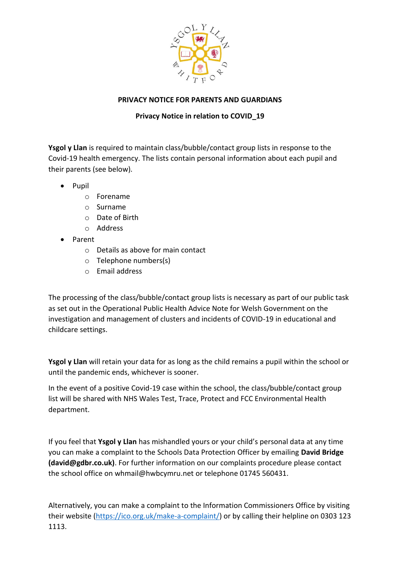

## **PRIVACY NOTICE FOR PARENTS AND GUARDIANS**

## **Privacy Notice in relation to COVID\_19**

**Ysgol y Llan** is required to maintain class/bubble/contact group lists in response to the Covid-19 health emergency. The lists contain personal information about each pupil and their parents (see below).

- Pupil
	- o Forename
	- o Surname
	- o Date of Birth
	- o Address
- Parent
	- o Details as above for main contact
	- o Telephone numbers(s)
	- o Email address

The processing of the class/bubble/contact group lists is necessary as part of our public task as set out in the Operational Public Health Advice Note for Welsh Government on the investigation and management of clusters and incidents of COVID-19 in educational and childcare settings.

**Ysgol y Llan** will retain your data for as long as the child remains a pupil within the school or until the pandemic ends, whichever is sooner.

In the event of a positive Covid-19 case within the school, the class/bubble/contact group list will be shared with NHS Wales Test, Trace, Protect and FCC Environmental Health department.

If you feel that **Ysgol y Llan** has mishandled yours or your child's personal data at any time you can make a complaint to the Schools Data Protection Officer by emailing **David Bridge (david@gdbr.co.uk)**. For further information on our complaints procedure please contact the school office on whmail@hwbcymru.net or telephone 01745 560431.

Alternatively, you can make a complaint to the Information Commissioners Office by visiting their website [\(https://ico.org.uk/make-a-complaint/\)](https://eur02.safelinks.protection.outlook.com/?url=https%3A%2F%2Fico.org.uk%2Fmake-a-complaint%2F&data=02%7C01%7Cwhhead%40hwbmail.net%7Ce81657c33a664e5337cf08d86ac120ae%7C4f3f0e52b734416494091b601d147993%7C0%7C1%7C637376725004105779&sdata=4tntygu4x9g744Z9pWrGDJ9zhXhRB97ej%2BxdfiJkWPA%3D&reserved=0) or by calling their helpline on 0303 123 1113.